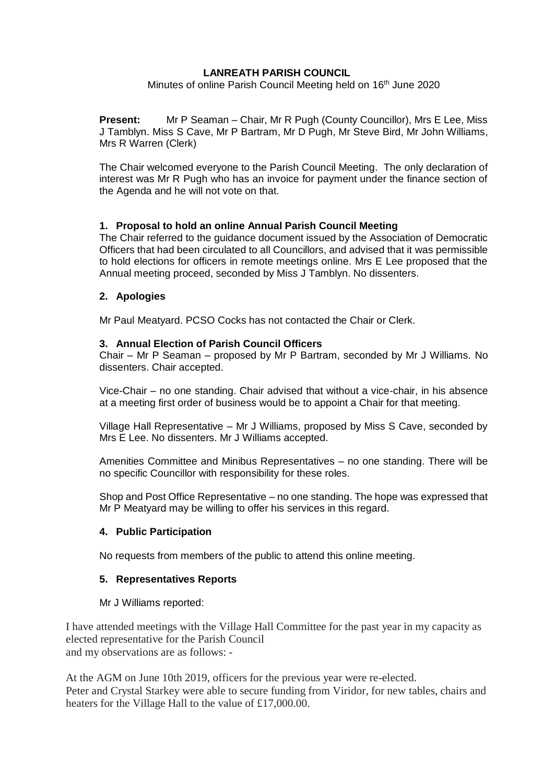## **LANREATH PARISH COUNCIL**

Minutes of online Parish Council Meeting held on 16<sup>th</sup> June 2020

**Present:** Mr P Seaman – Chair, Mr R Pugh (County Councillor), Mrs E Lee, Miss J Tamblyn. Miss S Cave, Mr P Bartram, Mr D Pugh, Mr Steve Bird, Mr John Williams, Mrs R Warren (Clerk)

The Chair welcomed everyone to the Parish Council Meeting. The only declaration of interest was Mr R Pugh who has an invoice for payment under the finance section of the Agenda and he will not vote on that.

## **1. Proposal to hold an online Annual Parish Council Meeting**

The Chair referred to the guidance document issued by the Association of Democratic Officers that had been circulated to all Councillors, and advised that it was permissible to hold elections for officers in remote meetings online. Mrs E Lee proposed that the Annual meeting proceed, seconded by Miss J Tamblyn. No dissenters.

### **2. Apologies**

Mr Paul Meatyard. PCSO Cocks has not contacted the Chair or Clerk.

### **3. Annual Election of Parish Council Officers**

Chair – Mr P Seaman – proposed by Mr P Bartram, seconded by Mr J Williams. No dissenters. Chair accepted.

Vice-Chair – no one standing. Chair advised that without a vice-chair, in his absence at a meeting first order of business would be to appoint a Chair for that meeting.

Village Hall Representative – Mr J Williams, proposed by Miss S Cave, seconded by Mrs E Lee. No dissenters. Mr J Williams accepted.

Amenities Committee and Minibus Representatives – no one standing. There will be no specific Councillor with responsibility for these roles.

Shop and Post Office Representative – no one standing. The hope was expressed that Mr P Meatyard may be willing to offer his services in this regard.

#### **4. Public Participation**

No requests from members of the public to attend this online meeting.

#### **5. Representatives Reports**

#### Mr J Williams reported:

I have attended meetings with the Village Hall Committee for the past year in my capacity as elected representative for the Parish Council and my observations are as follows: -

At the AGM on June 10th 2019, officers for the previous year were re-elected. Peter and Crystal Starkey were able to secure funding from Viridor, for new tables, chairs and heaters for the Village Hall to the value of £17,000.00.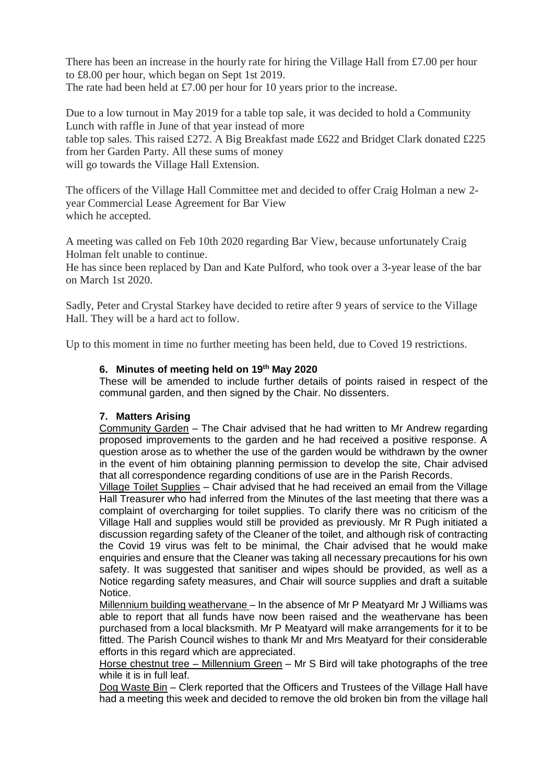There has been an increase in the hourly rate for hiring the Village Hall from £7.00 per hour to £8.00 per hour, which began on Sept 1st 2019. The rate had been held at £7.00 per hour for 10 years prior to the increase.

Due to a low turnout in May 2019 for a table top sale, it was decided to hold a Community Lunch with raffle in June of that year instead of more table top sales. This raised £272. A Big Breakfast made £622 and Bridget Clark donated £225 from her Garden Party. All these sums of money will go towards the Village Hall Extension.

The officers of the Village Hall Committee met and decided to offer Craig Holman a new 2 year Commercial Lease Agreement for Bar View which he accepted.

A meeting was called on Feb 10th 2020 regarding Bar View, because unfortunately Craig Holman felt unable to continue.

He has since been replaced by Dan and Kate Pulford, who took over a 3-year lease of the bar on March 1st 2020.

Sadly, Peter and Crystal Starkey have decided to retire after 9 years of service to the Village Hall. They will be a hard act to follow.

Up to this moment in time no further meeting has been held, due to Coved 19 restrictions.

# **6. Minutes of meeting held on 19 th May 2020**

These will be amended to include further details of points raised in respect of the communal garden, and then signed by the Chair. No dissenters.

## **7. Matters Arising**

Community Garden – The Chair advised that he had written to Mr Andrew regarding proposed improvements to the garden and he had received a positive response. A question arose as to whether the use of the garden would be withdrawn by the owner in the event of him obtaining planning permission to develop the site, Chair advised that all correspondence regarding conditions of use are in the Parish Records.

Village Toilet Supplies – Chair advised that he had received an email from the Village Hall Treasurer who had inferred from the Minutes of the last meeting that there was a complaint of overcharging for toilet supplies. To clarify there was no criticism of the Village Hall and supplies would still be provided as previously. Mr R Pugh initiated a discussion regarding safety of the Cleaner of the toilet, and although risk of contracting the Covid 19 virus was felt to be minimal, the Chair advised that he would make enquiries and ensure that the Cleaner was taking all necessary precautions for his own safety. It was suggested that sanitiser and wipes should be provided, as well as a Notice regarding safety measures, and Chair will source supplies and draft a suitable Notice.

Millennium building weathervane – In the absence of Mr P Meatyard Mr J Williams was able to report that all funds have now been raised and the weathervane has been purchased from a local blacksmith. Mr P Meatyard will make arrangements for it to be fitted. The Parish Council wishes to thank Mr and Mrs Meatyard for their considerable efforts in this regard which are appreciated.

Horse chestnut tree – Millennium Green – Mr S Bird will take photographs of the tree while it is in full leaf.

Dog Waste Bin – Clerk reported that the Officers and Trustees of the Village Hall have had a meeting this week and decided to remove the old broken bin from the village hall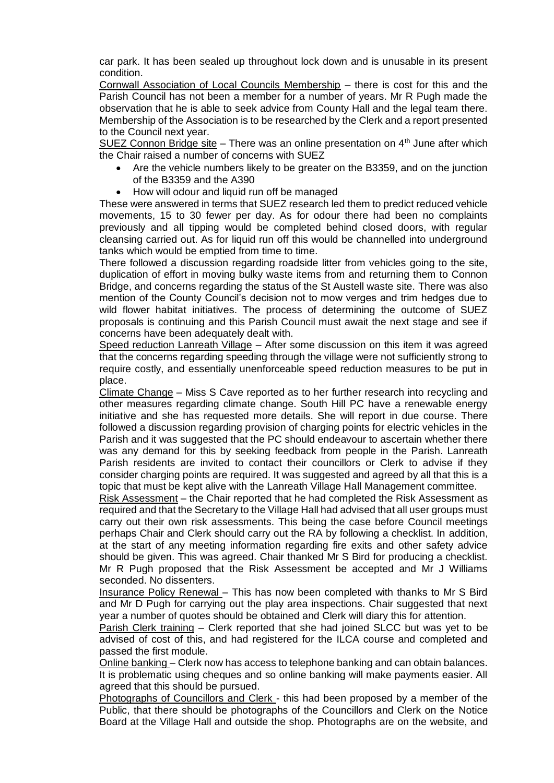car park. It has been sealed up throughout lock down and is unusable in its present condition.

Cornwall Association of Local Councils Membership – there is cost for this and the Parish Council has not been a member for a number of years. Mr R Pugh made the observation that he is able to seek advice from County Hall and the legal team there. Membership of the Association is to be researched by the Clerk and a report presented to the Council next year.

SUEZ Connon Bridge site – There was an online presentation on  $4<sup>th</sup>$  June after which the Chair raised a number of concerns with SUEZ

- Are the vehicle numbers likely to be greater on the B3359, and on the junction of the B3359 and the A390
- How will odour and liquid run off be managed

These were answered in terms that SUEZ research led them to predict reduced vehicle movements, 15 to 30 fewer per day. As for odour there had been no complaints previously and all tipping would be completed behind closed doors, with regular cleansing carried out. As for liquid run off this would be channelled into underground tanks which would be emptied from time to time.

There followed a discussion regarding roadside litter from vehicles going to the site, duplication of effort in moving bulky waste items from and returning them to Connon Bridge, and concerns regarding the status of the St Austell waste site. There was also mention of the County Council's decision not to mow verges and trim hedges due to wild flower habitat initiatives. The process of determining the outcome of SUEZ proposals is continuing and this Parish Council must await the next stage and see if concerns have been adequately dealt with.

Speed reduction Lanreath Village – After some discussion on this item it was agreed that the concerns regarding speeding through the village were not sufficiently strong to require costly, and essentially unenforceable speed reduction measures to be put in place.

Climate Change – Miss S Cave reported as to her further research into recycling and other measures regarding climate change. South Hill PC have a renewable energy initiative and she has requested more details. She will report in due course. There followed a discussion regarding provision of charging points for electric vehicles in the Parish and it was suggested that the PC should endeavour to ascertain whether there was any demand for this by seeking feedback from people in the Parish. Lanreath Parish residents are invited to contact their councillors or Clerk to advise if they consider charging points are required. It was suggested and agreed by all that this is a topic that must be kept alive with the Lanreath Village Hall Management committee.

Risk Assessment – the Chair reported that he had completed the Risk Assessment as required and that the Secretary to the Village Hall had advised that all user groups must carry out their own risk assessments. This being the case before Council meetings perhaps Chair and Clerk should carry out the RA by following a checklist. In addition, at the start of any meeting information regarding fire exits and other safety advice should be given. This was agreed. Chair thanked Mr S Bird for producing a checklist. Mr R Pugh proposed that the Risk Assessment be accepted and Mr J Williams seconded. No dissenters.

Insurance Policy Renewal – This has now been completed with thanks to Mr S Bird and Mr D Pugh for carrying out the play area inspections. Chair suggested that next year a number of quotes should be obtained and Clerk will diary this for attention.

Parish Clerk training – Clerk reported that she had joined SLCC but was yet to be advised of cost of this, and had registered for the ILCA course and completed and passed the first module.

Online banking – Clerk now has access to telephone banking and can obtain balances. It is problematic using cheques and so online banking will make payments easier. All agreed that this should be pursued.

Photographs of Councillors and Clerk - this had been proposed by a member of the Public, that there should be photographs of the Councillors and Clerk on the Notice Board at the Village Hall and outside the shop. Photographs are on the website, and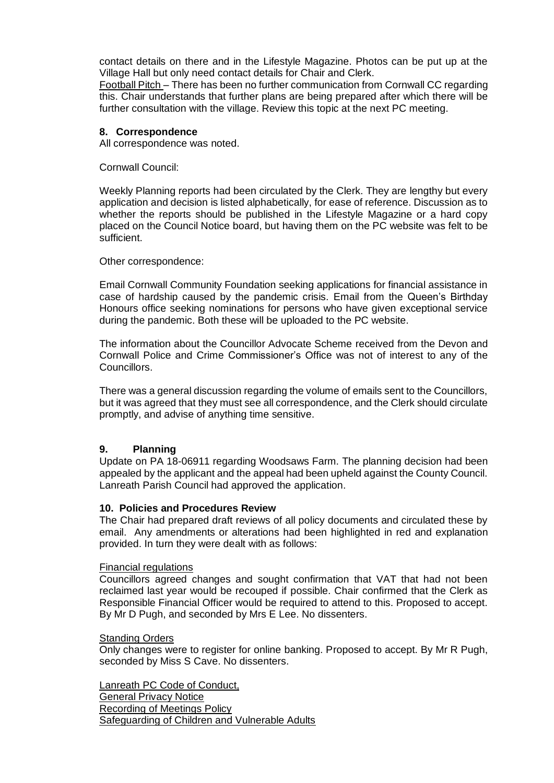contact details on there and in the Lifestyle Magazine. Photos can be put up at the Village Hall but only need contact details for Chair and Clerk.

Football Pitch – There has been no further communication from Cornwall CC regarding this. Chair understands that further plans are being prepared after which there will be further consultation with the village. Review this topic at the next PC meeting.

#### **8. Correspondence**

All correspondence was noted.

Cornwall Council:

Weekly Planning reports had been circulated by the Clerk. They are lengthy but every application and decision is listed alphabetically, for ease of reference. Discussion as to whether the reports should be published in the Lifestyle Magazine or a hard copy placed on the Council Notice board, but having them on the PC website was felt to be sufficient.

Other correspondence:

Email Cornwall Community Foundation seeking applications for financial assistance in case of hardship caused by the pandemic crisis. Email from the Queen's Birthday Honours office seeking nominations for persons who have given exceptional service during the pandemic. Both these will be uploaded to the PC website.

The information about the Councillor Advocate Scheme received from the Devon and Cornwall Police and Crime Commissioner's Office was not of interest to any of the Councillors.

There was a general discussion regarding the volume of emails sent to the Councillors, but it was agreed that they must see all correspondence, and the Clerk should circulate promptly, and advise of anything time sensitive.

## **9. Planning**

Update on PA 18-06911 regarding Woodsaws Farm. The planning decision had been appealed by the applicant and the appeal had been upheld against the County Council. Lanreath Parish Council had approved the application.

### **10. Policies and Procedures Review**

The Chair had prepared draft reviews of all policy documents and circulated these by email. Any amendments or alterations had been highlighted in red and explanation provided. In turn they were dealt with as follows:

#### Financial regulations

Councillors agreed changes and sought confirmation that VAT that had not been reclaimed last year would be recouped if possible. Chair confirmed that the Clerk as Responsible Financial Officer would be required to attend to this. Proposed to accept. By Mr D Pugh, and seconded by Mrs E Lee. No dissenters.

#### Standing Orders

Only changes were to register for online banking. Proposed to accept. By Mr R Pugh, seconded by Miss S Cave. No dissenters.

Lanreath PC Code of Conduct, General Privacy Notice Recording of Meetings Policy Safeguarding of Children and Vulnerable Adults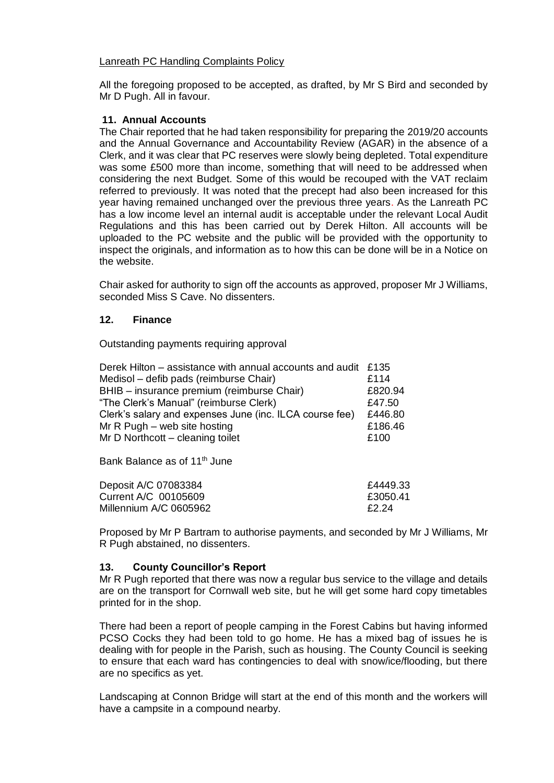## Lanreath PC Handling Complaints Policy

All the foregoing proposed to be accepted, as drafted, by Mr S Bird and seconded by Mr D Pugh. All in favour.

## **11. Annual Accounts**

The Chair reported that he had taken responsibility for preparing the 2019/20 accounts and the Annual Governance and Accountability Review (AGAR) in the absence of a Clerk, and it was clear that PC reserves were slowly being depleted. Total expenditure was some £500 more than income, something that will need to be addressed when considering the next Budget. Some of this would be recouped with the VAT reclaim referred to previously. It was noted that the precept had also been increased for this year having remained unchanged over the previous three years. As the Lanreath PC has a low income level an internal audit is acceptable under the relevant Local Audit Regulations and this has been carried out by Derek Hilton. All accounts will be uploaded to the PC website and the public will be provided with the opportunity to inspect the originals, and information as to how this can be done will be in a Notice on the website.

Chair asked for authority to sign off the accounts as approved, proposer Mr J Williams, seconded Miss S Cave. No dissenters.

## **12. Finance**

Outstanding payments requiring approval

| Derek Hilton – assistance with annual accounts and audit £135 |         |
|---------------------------------------------------------------|---------|
| Medisol – defib pads (reimburse Chair)                        | £114    |
| BHIB - insurance premium (reimburse Chair)                    | £820.94 |
| "The Clerk's Manual" (reimburse Clerk)                        | £47.50  |
| Clerk's salary and expenses June (inc. ILCA course fee)       | £446.80 |
| Mr $R$ Pugh – web site hosting                                | £186.46 |
| Mr D Northcott – cleaning toilet                              | £100    |

Bank Balance as of 11<sup>th</sup> June

| Deposit A/C 07083384   | £4449.33 |
|------------------------|----------|
| Current A/C 00105609   | £3050.41 |
| Millennium A/C 0605962 | £2.24    |

Proposed by Mr P Bartram to authorise payments, and seconded by Mr J Williams, Mr R Pugh abstained, no dissenters.

## **13. County Councillor's Report**

Mr R Pugh reported that there was now a regular bus service to the village and details are on the transport for Cornwall web site, but he will get some hard copy timetables printed for in the shop.

There had been a report of people camping in the Forest Cabins but having informed PCSO Cocks they had been told to go home. He has a mixed bag of issues he is dealing with for people in the Parish, such as housing. The County Council is seeking to ensure that each ward has contingencies to deal with snow/ice/flooding, but there are no specifics as yet.

Landscaping at Connon Bridge will start at the end of this month and the workers will have a campsite in a compound nearby.